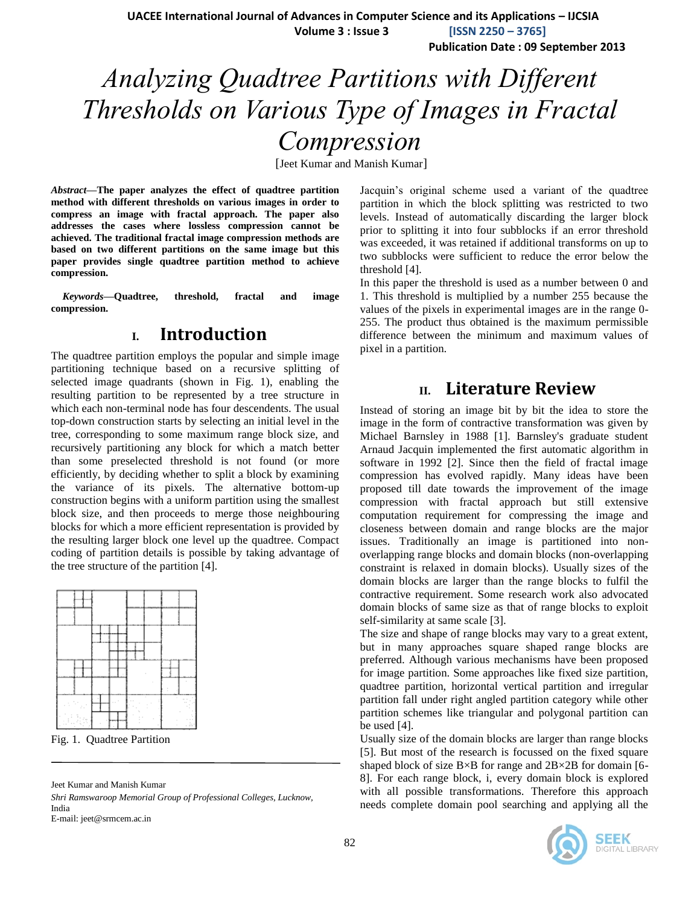**UACEE International Journal of Advances in Computer Science and its Applications – IJCSIA**

 **Volume 3 : Issue 3 [ISSN 2250 – 3765]**

**Publication Date : 09 September 2013**

# *Analyzing Quadtree Partitions with Different Thresholds on Various Type of Images in Fractal Compression*

[Jeet Kumar and Manish Kumar]

*Abstract***—The paper analyzes the effect of quadtree partition method with different thresholds on various images in order to compress an image with fractal approach. The paper also addresses the cases where lossless compression cannot be achieved. The traditional fractal image compression methods are based on two different partitions on the same image but this paper provides single quadtree partition method to achieve compression.**

*Keywords***—Quadtree, threshold, fractal and image compression.**

# **I. Introduction**

The quadtree partition employs the popular and simple image partitioning technique based on a recursive splitting of selected image quadrants (shown in Fig. 1), enabling the resulting partition to be represented by a tree structure in which each non-terminal node has four descendents. The usual top-down construction starts by selecting an initial level in the tree, corresponding to some maximum range block size, and recursively partitioning any block for which a match better than some preselected threshold is not found (or more efficiently, by deciding whether to split a block by examining the variance of its pixels. The alternative bottom-up construction begins with a uniform partition using the smallest block size, and then proceeds to merge those neighbouring blocks for which a more efficient representation is provided by the resulting larger block one level up the quadtree. Compact coding of partition details is possible by taking advantage of the tree structure of the partition [4].



Fig. 1. Quadtree Partition

Jeet Kumar and Manish Kumar

*Shri Ramswaroop Memorial Group of Professional Colleges, Lucknow,* India E-mail: jeet@srmcem.ac.in

Jacquin's original scheme used a variant of the quadtree partition in which the block splitting was restricted to two levels. Instead of automatically discarding the larger block prior to splitting it into four subblocks if an error threshold was exceeded, it was retained if additional transforms on up to two subblocks were sufficient to reduce the error below the threshold [4].

In this paper the threshold is used as a number between 0 and 1. This threshold is multiplied by a number 255 because the values of the pixels in experimental images are in the range 0- 255. The product thus obtained is the maximum permissible difference between the minimum and maximum values of pixel in a partition.

## **II. Literature Review**

Instead of storing an image bit by bit the idea to store the image in the form of contractive transformation was given by Michael Barnsley in 1988 [1]. Barnsley's graduate student Arnaud Jacquin implemented the first automatic algorithm in software in 1992 [2]. Since then the field of fractal image compression has evolved rapidly. Many ideas have been proposed till date towards the improvement of the image compression with fractal approach but still extensive computation requirement for compressing the image and closeness between domain and range blocks are the major issues. Traditionally an image is partitioned into nonoverlapping range blocks and domain blocks (non-overlapping constraint is relaxed in domain blocks). Usually sizes of the domain blocks are larger than the range blocks to fulfil the contractive requirement. Some research work also advocated domain blocks of same size as that of range blocks to exploit self-similarity at same scale [3].

The size and shape of range blocks may vary to a great extent, but in many approaches square shaped range blocks are preferred. Although various mechanisms have been proposed for image partition. Some approaches like fixed size partition, quadtree partition, horizontal vertical partition and irregular partition fall under right angled partition category while other partition schemes like triangular and polygonal partition can be used [4].

Usually size of the domain blocks are larger than range blocks [5]. But most of the research is focussed on the fixed square shaped block of size  $B \times B$  for range and  $2B \times 2B$  for domain [6-8]. For each range block, i, every domain block is explored with all possible transformations. Therefore this approach needs complete domain pool searching and applying all the

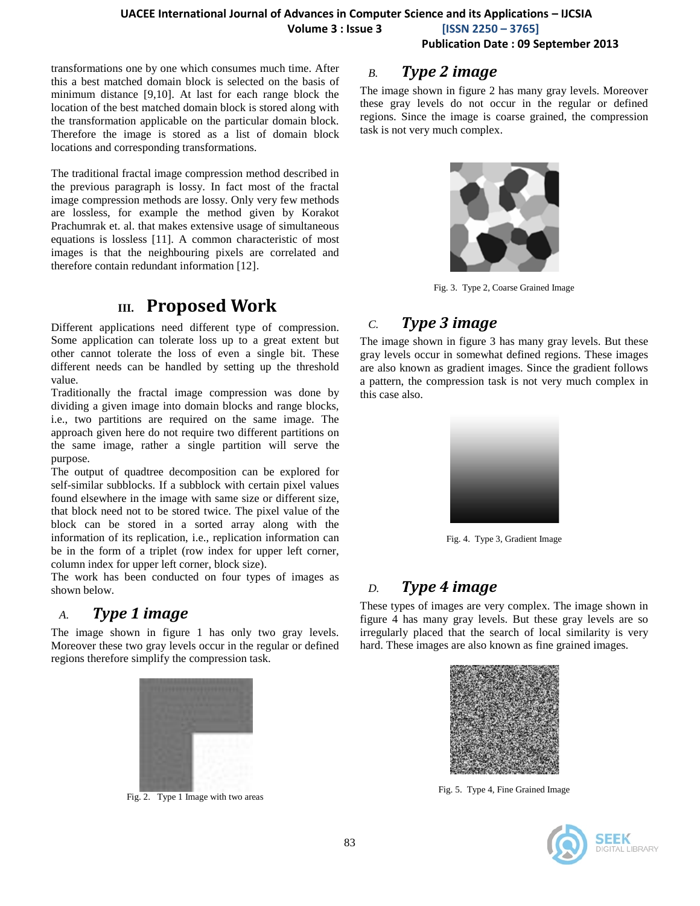**Volume 3 : Issue 3 [ISSN 2250 – 3765]**

**Publication Date : 09 September 2013**

transformations one by one which consumes much time. After this a best matched domain block is selected on the basis of minimum distance [9,10]. At last for each range block the location of the best matched domain block is stored along with the transformation applicable on the particular domain block. Therefore the image is stored as a list of domain block locations and corresponding transformations.

The traditional fractal image compression method described in the previous paragraph is lossy. In fact most of the fractal image compression methods are lossy. Only very few methods are lossless, for example the method given by Korakot Prachumrak et. al. that makes extensive usage of simultaneous equations is lossless [11]. A common characteristic of most images is that the neighbouring pixels are correlated and therefore contain redundant information [12].

# **III. Proposed Work**

Different applications need different type of compression. Some application can tolerate loss up to a great extent but other cannot tolerate the loss of even a single bit. These different needs can be handled by setting up the threshold value.

Traditionally the fractal image compression was done by dividing a given image into domain blocks and range blocks, i.e., two partitions are required on the same image. The approach given here do not require two different partitions on the same image, rather a single partition will serve the purpose.

The output of quadtree decomposition can be explored for self-similar subblocks. If a subblock with certain pixel values found elsewhere in the image with same size or different size, that block need not to be stored twice. The pixel value of the block can be stored in a sorted array along with the information of its replication, i.e., replication information can be in the form of a triplet (row index for upper left corner, column index for upper left corner, block size).

The work has been conducted on four types of images as shown below.

### *A. Type 1 image*

The image shown in figure 1 has only two gray levels. Moreover these two gray levels occur in the regular or defined regions therefore simplify the compression task.



Fig. 2. Type 1 Image with two areas

# *B. Type 2 image*

The image shown in figure 2 has many gray levels. Moreover these gray levels do not occur in the regular or defined regions. Since the image is coarse grained, the compression task is not very much complex.



Fig. 3. Type 2, Coarse Grained Image

# *C. Type 3 image*

The image shown in figure 3 has many gray levels. But these gray levels occur in somewhat defined regions. These images are also known as gradient images. Since the gradient follows a pattern, the compression task is not very much complex in this case also.



Fig. 4. Type 3, Gradient Image

# *D. Type 4 image*

These types of images are very complex. The image shown in figure 4 has many gray levels. But these gray levels are so irregularly placed that the search of local similarity is very hard. These images are also known as fine grained images.



Fig. 5. Type 4, Fine Grained Image

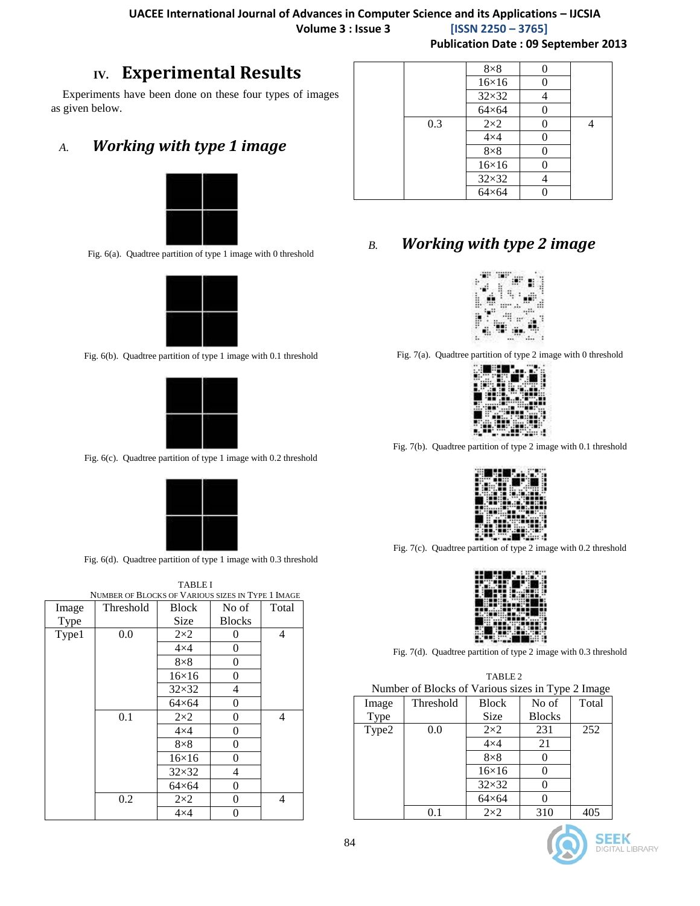**Publication Date : 09 September 2013**

# **IV. Experimental Results**

Experiments have been done on these four types of images as given below.

# *A. Working with type 1 image*



Fig. 6(a). Quadtree partition of type 1 image with 0 threshold



Fig. 6(b). Quadtree partition of type 1 image with 0.1 threshold



Fig. 6(c). Quadtree partition of type 1 image with 0.2 threshold



Fig. 6(d). Quadtree partition of type 1 image with 0.3 threshold

|       | <b>TABLE I</b>                                    |              |               |       |  |  |
|-------|---------------------------------------------------|--------------|---------------|-------|--|--|
|       | NUMBER OF BLOCKS OF VARIOUS SIZES IN TYPE 1 IMAGE |              |               |       |  |  |
| Image | Threshold                                         | Block        | No of         | Total |  |  |
| Type  |                                                   | Size         | <b>Blocks</b> |       |  |  |
| Type1 | 0.0                                               | $2\times2$   | $\theta$      | 4     |  |  |
|       |                                                   | $4\times4$   | $\theta$      |       |  |  |
|       |                                                   | $8\times8$   | $\theta$      |       |  |  |
|       |                                                   | $16\times16$ | $\theta$      |       |  |  |
|       |                                                   | $32\times32$ | 4             |       |  |  |
|       |                                                   | $64\times64$ | 0             |       |  |  |
|       | 0.1                                               | $2\times2$   | $\theta$      | 4     |  |  |
|       |                                                   | $4\times4$   | $\theta$      |       |  |  |
|       |                                                   | $8\times8$   | $\theta$      |       |  |  |
|       |                                                   | $16\times16$ | 0             |       |  |  |
|       |                                                   | $32\times32$ | 4             |       |  |  |
|       |                                                   | $64\times64$ | $\theta$      |       |  |  |
|       | 0.2                                               | $2\times2$   | 0             | 4     |  |  |
|       |                                                   | $4\times4$   | 0             |       |  |  |

|     | $8\times8$   |   |  |
|-----|--------------|---|--|
|     | $16\times16$ |   |  |
|     | $32\times32$ |   |  |
|     | $64\times64$ | 0 |  |
| 0.3 | $2\times2$   |   |  |
|     | $4\times4$   |   |  |
|     | $8\times8$   |   |  |
|     | $16\times16$ |   |  |
|     | $32\times32$ |   |  |
|     | $64\times64$ |   |  |

# *B. Working with type 2 image*



Fig. 7(a). Quadtree partition of type 2 image with 0 threshold



Fig. 7(b). Quadtree partition of type 2 image with 0.1 threshold



Fig. 7(c). Quadtree partition of type 2 image with 0.2 threshold



Fig. 7(d). Quadtree partition of type 2 image with 0.3 threshold

| TABLE 2                                           |
|---------------------------------------------------|
| Number of Blocks of Various sizes in Type 2 Image |

|       |           |              | . .           |       |
|-------|-----------|--------------|---------------|-------|
| Image | Threshold | <b>Block</b> | No of         | Total |
| Type  |           | <b>Size</b>  | <b>Blocks</b> |       |
| Type2 | 0.0       | $2\times2$   | 231           | 252   |
|       |           | $4\times4$   | 21            |       |
|       |           | $8\times8$   |               |       |
|       |           | $16\times16$ |               |       |
|       |           | $32\times32$ |               |       |
|       |           | $64\times64$ |               |       |
|       | O 1       | $2\times2$   | 310           |       |



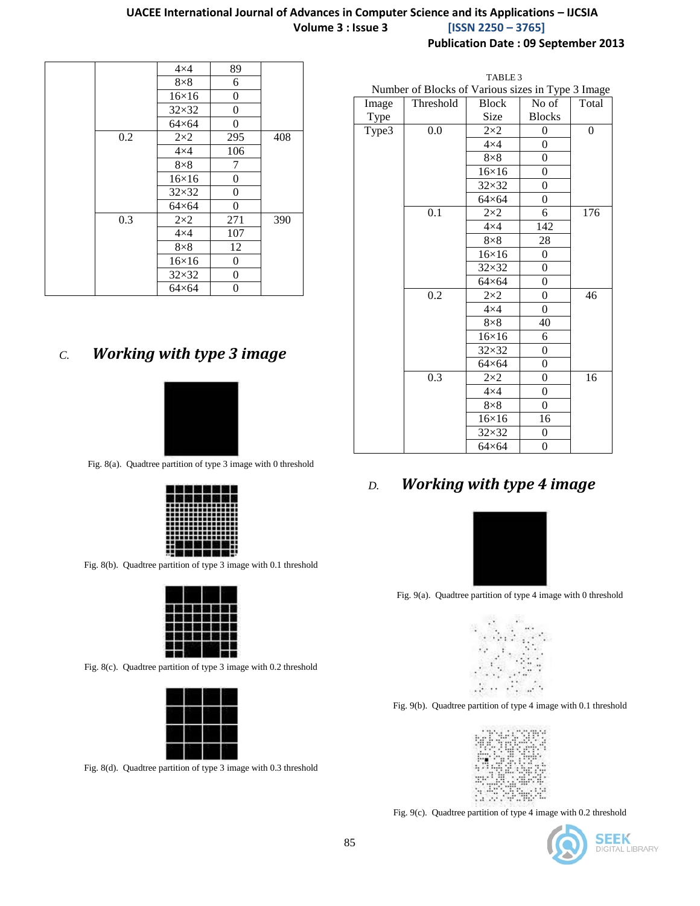### **UACEE International Journal of Advances in Computer Science and its Applications – IJCSIA Volume 3 : Issue 3 [ISSN 2250 – 3765]**

**Publication Date : 09 September 2013**

| 89<br>$4\times4$<br>$8\times8$<br>6<br>$16\times16$<br>0<br>$32\times32$<br>0<br>$64\times64$<br>$\overline{0}$<br>0.2<br>$2\times2$<br>408<br>295<br>$4\times4$<br>106<br>$8\times8$<br>7<br>$\overline{0}$<br>$16\times16$<br>$32\times32$<br>0<br>$64\times64$<br>$\overline{0}$<br>390<br>0.3<br>$2\times2$<br>271<br>$4\times4$<br>107<br>12<br>$8\times8$<br>$16\times16$<br>0<br>$32\times32$<br>$\overline{0}$<br>0<br>$64\times64$ |  |  |  |
|---------------------------------------------------------------------------------------------------------------------------------------------------------------------------------------------------------------------------------------------------------------------------------------------------------------------------------------------------------------------------------------------------------------------------------------------|--|--|--|
|                                                                                                                                                                                                                                                                                                                                                                                                                                             |  |  |  |
|                                                                                                                                                                                                                                                                                                                                                                                                                                             |  |  |  |
|                                                                                                                                                                                                                                                                                                                                                                                                                                             |  |  |  |
|                                                                                                                                                                                                                                                                                                                                                                                                                                             |  |  |  |
|                                                                                                                                                                                                                                                                                                                                                                                                                                             |  |  |  |
|                                                                                                                                                                                                                                                                                                                                                                                                                                             |  |  |  |
|                                                                                                                                                                                                                                                                                                                                                                                                                                             |  |  |  |
|                                                                                                                                                                                                                                                                                                                                                                                                                                             |  |  |  |
|                                                                                                                                                                                                                                                                                                                                                                                                                                             |  |  |  |
|                                                                                                                                                                                                                                                                                                                                                                                                                                             |  |  |  |
|                                                                                                                                                                                                                                                                                                                                                                                                                                             |  |  |  |
|                                                                                                                                                                                                                                                                                                                                                                                                                                             |  |  |  |
|                                                                                                                                                                                                                                                                                                                                                                                                                                             |  |  |  |
|                                                                                                                                                                                                                                                                                                                                                                                                                                             |  |  |  |
|                                                                                                                                                                                                                                                                                                                                                                                                                                             |  |  |  |
|                                                                                                                                                                                                                                                                                                                                                                                                                                             |  |  |  |
|                                                                                                                                                                                                                                                                                                                                                                                                                                             |  |  |  |

# *C. Working with type 3 image*



Fig. 8(a). Quadtree partition of type 3 image with 0 threshold

|                                    |  |  | 温度温度温度  |  |
|------------------------------------|--|--|---------|--|
|                                    |  |  | 聚铝酸铝铝铝铝 |  |
| ,,,,,,,,,,,,,,,                    |  |  |         |  |
| ---------------<br>--------------- |  |  |         |  |
| ---------------                    |  |  |         |  |
| ---------------                    |  |  |         |  |
| ---------------<br>--------------- |  |  |         |  |
| ---------------                    |  |  |         |  |
| ::長短短短短短:                          |  |  |         |  |
| 11 10 10 10 10 10 10 10 10 1       |  |  |         |  |

Fig. 8(b). Quadtree partition of type 3 image with 0.1 threshold

Fig. 8(c). Quadtree partition of type 3 image with 0.2 threshold

Fig. 8(d). Quadtree partition of type 3 image with 0.3 threshold

|       | TABLE 3                                           |               |                  |                |  |  |
|-------|---------------------------------------------------|---------------|------------------|----------------|--|--|
|       | Number of Blocks of Various sizes in Type 3 Image |               |                  |                |  |  |
| Image | Threshold                                         | <b>Block</b>  | No of            | Total          |  |  |
| Type  |                                                   | Size          | <b>Blocks</b>    |                |  |  |
| Type3 | 0.0                                               | $2\times2$    | $\theta$         | $\overline{0}$ |  |  |
|       |                                                   | $4\times4$    | $\overline{0}$   |                |  |  |
|       |                                                   | $8\times8$    | $\theta$         |                |  |  |
|       |                                                   | $16\times16$  | 0                |                |  |  |
|       |                                                   | $32\times32$  | $\overline{0}$   |                |  |  |
|       |                                                   | $64\times 64$ | $\theta$         |                |  |  |
|       | 0.1                                               | $2\times 2$   | 6                | 176            |  |  |
|       |                                                   | $4\times4$    | 142              |                |  |  |
|       |                                                   | $8\times8$    | 28               |                |  |  |
|       |                                                   | $16\times16$  | 0                |                |  |  |
|       |                                                   | $32\times32$  | $\overline{0}$   |                |  |  |
|       |                                                   | $64\times64$  | $\overline{0}$   |                |  |  |
|       | 0.2                                               | $2\times2$    | $\overline{0}$   | 46             |  |  |
|       |                                                   | $4\times4$    | $\overline{0}$   |                |  |  |
|       |                                                   | $8\times8$    | 40               |                |  |  |
|       |                                                   | $16\times16$  | 6                |                |  |  |
|       |                                                   | $32\times32$  | $\overline{0}$   |                |  |  |
|       |                                                   | $64\times64$  | $\overline{0}$   |                |  |  |
|       | $\overline{0.3}$                                  | $2\times 2$   | $\overline{0}$   | 16             |  |  |
|       |                                                   | $4\times4$    | $\boldsymbol{0}$ |                |  |  |
|       |                                                   | $8\times8$    | $\theta$         |                |  |  |
|       |                                                   | $16\times16$  | 16               |                |  |  |
|       |                                                   | 32×32         | $\overline{0}$   |                |  |  |
|       |                                                   | $64\times64$  | $\mathbf{0}$     |                |  |  |

# *D. Working with type 4 image*



Fig. 9(a). Quadtree partition of type 4 image with 0 threshold



Fig. 9(b). Quadtree partition of type 4 image with 0.1 threshold



Fig. 9(c). Quadtree partition of type 4 image with 0.2 threshold